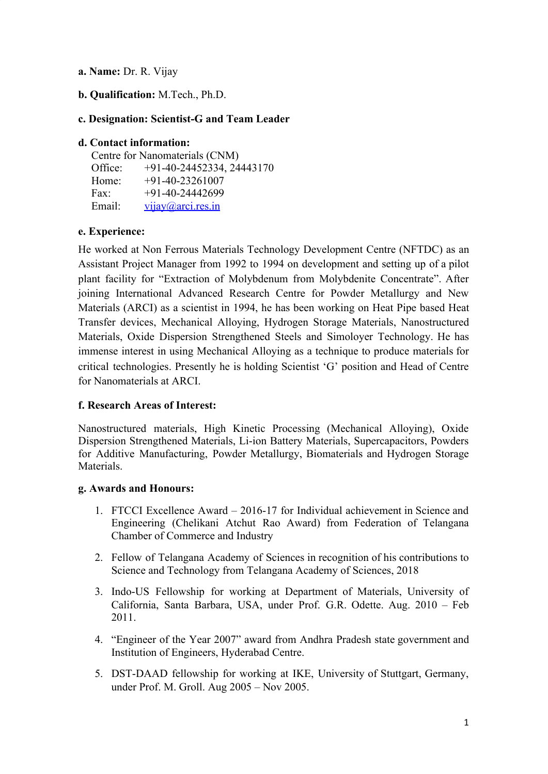**a. Name:** Dr. R. Vijay

**b. Qualification:** M.Tech., Ph.D.

### **c. Designation: Scientist-G and Team Leader**

### **d. Contact information:**

| Centre for Nanomaterials (CNM) |                             |  |
|--------------------------------|-----------------------------|--|
| Office:                        | $+91-40-24452334, 24443170$ |  |
| Home:                          | $+91-40-23261007$           |  |
| Fax:                           | $+91-40-24442699$           |  |
| Email:                         | vijay@arci.res.in           |  |

# **e. Experience:**

He worked at Non Ferrous Materials Technology Development Centre (NFTDC) as an Assistant Project Manager from 1992 to 1994 on development and setting up of a pilot plant facility for "Extraction of Molybdenum from Molybdenite Concentrate". After joining International Advanced Research Centre for Powder Metallurgy and New Materials (ARCI) as a scientist in 1994, he has been working on Heat Pipe based Heat Transfer devices, Mechanical Alloying, Hydrogen Storage Materials, Nanostructured Materials, Oxide Dispersion Strengthened Steels and Simoloyer Technology. He has immense interest in using Mechanical Alloying as a technique to produce materials for critical technologies. Presently he is holding Scientist 'G' position and Head of Centre for Nanomaterials at ARCI.

# **f. Research Areas of Interest:**

Nanostructured materials, High Kinetic Processing (Mechanical Alloying), Oxide Dispersion Strengthened Materials, Li-ion Battery Materials, Supercapacitors, Powders for Additive Manufacturing, Powder Metallurgy, Biomaterials and Hydrogen Storage Materials.

### **g. Awards and Honours:**

- 1. FTCCI Excellence Award 2016-17 for Individual achievement in Science and Engineering (Chelikani Atchut Rao Award) from Federation of Telangana Chamber of Commerce and Industry
- 2. Fellow of Telangana Academy of Sciences in recognition of his contributions to Science and Technology from Telangana Academy of Sciences, 2018
- 3. Indo-US Fellowship for working at Department of Materials, University of California, Santa Barbara, USA, under Prof. G.R. Odette. Aug. 2010 – Feb 2011.
- 4. "Engineer of the Year 2007" award from Andhra Pradesh state government and Institution of Engineers, Hyderabad Centre.
- 5. DST-DAAD fellowship for working at IKE, University of Stuttgart, Germany, under Prof. M. Groll. Aug 2005 – Nov 2005.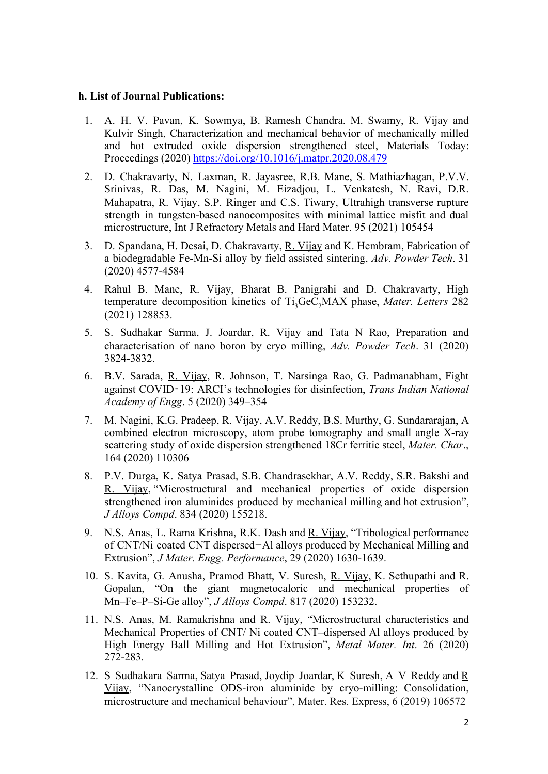#### **h. List of Journal Publications:**

- 1. A. H. V. Pavan, K. Sowmya, B. Ramesh Chandra. M. Swamy, R. Vijay and Kulvir Singh, Characterization and mechanical behavior of mechanically milled and hot extruded oxide dispersion strengthened steel, Materials Today: Proceedings (2020)<https://doi.org/10.1016/j.matpr.2020.08.479>
- 2. D. Chakravarty, N. Laxman, R. Jayasree, R.B. Mane, S. Mathiazhagan, P.V.V. Srinivas, R. Das, M. Nagini, M. Eizadjou, L. Venkatesh, N. Ravi, D.R. Mahapatra, R. Vijay, S.P. Ringer and C.S. Tiwary, Ultrahigh transverse rupture strength in tungsten-based nanocomposites with minimal lattice misfit and dual microstructure, Int J Refractory Metals and Hard Mater. 95 (2021) 105454
- 3. D. Spandana, H. Desai, D. Chakravarty, R. Vijay and K. Hembram, Fabrication of a biodegradable Fe-Mn-Si alloy by field assisted sintering, *Adv. Powder Tech*. 31 (2020) 4577-4584
- 4. Rahul B. Mane, R. Vijay, Bharat B. Panigrahi and D. Chakravarty, High temperature decomposition kinetics of Ti<sub>3</sub>GeC<sub>2</sub>MAX phase, *Mater. Letters* 282 (2021) 128853.
- 5. S. Sudhakar Sarma, J. Joardar, R. Vijay and Tata N Rao, Preparation and characterisation of nano boron by cryo milling, *Adv. Powder Tech*. 31 (2020) 3824-3832.
- 6. B.V. Sarada, R. Vijay, R. Johnson, T. Narsinga Rao, G. Padmanabham, Fight against COVID‑19: ARCI's technologies for disinfection, *Trans Indian National Academy of Engg*. 5 (2020) 349–354
- 7. M. Nagini, K.G. Pradeep, R. Vijay, A.V. Reddy, B.S. Murthy, G. Sundararajan, A combined electron microscopy, atom probe tomography and small angle X-ray scattering study of oxide dispersion strengthened 18Cr ferritic steel, *Mater. Char*., 164 (2020) 110306
- 8. P.V. Durga, K. Satya Prasad, S.B. Chandrasekhar, A.V. Reddy, S.R. Bakshi and R. Vijay, "Microstructural and mechanical properties of oxide dispersion strengthened iron aluminides produced by mechanical milling and hot extrusion", *J Alloys Compd*. 834 (2020) 155218.
- 9. N.S. Anas, L. Rama Krishna, R.K. Dash and R. Vijay, "Tribological performance of CNT/Ni coated CNT dispersed*−*Al alloys produced by Mechanical Milling and Extrusion", *J Mater. Engg. Performance*, 29 (2020) 1630-1639.
- 10. S. Kavita, G. Anusha, Pramod Bhatt, V. Suresh, R. Vijay, K. Sethupathi and R. Gopalan, "On the giant magnetocaloric and mechanical properties of Mn–Fe–P–Si-Ge alloy", *J Alloys Compd*. 817 (2020) 153232.
- 11. N.S. Anas, M. Ramakrishna and R. Vijay, "Microstructural characteristics and Mechanical Properties of CNT/ Ni coated CNT–dispersed Al alloys produced by High Energy Ball Milling and Hot Extrusion", *Metal Mater. Int*. 26 (2020) 272-283.
- 12. S Sudhakara Sarma, Satya Prasad, Joydip Joardar, K Suresh, A V Reddy and R Vijay, "Nanocrystalline ODS-iron aluminide by cryo-milling: Consolidation, microstructure and mechanical behaviour", Mater. Res. Express, 6 (2019) 106572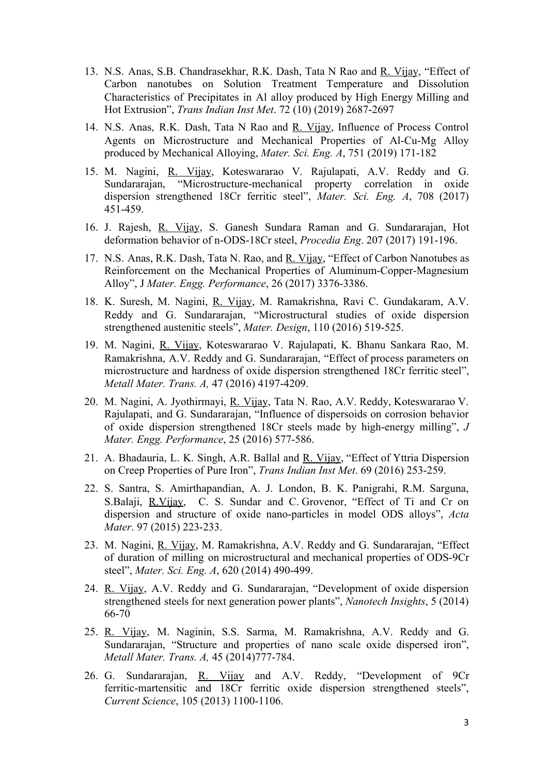- 13. N.S. Anas, S.B. Chandrasekhar, R.K. Dash, Tata N Rao and R. Vijay, "Effect of Carbon nanotubes on Solution Treatment Temperature and Dissolution Characteristics of Precipitates in Al alloy produced by High Energy Milling and Hot Extrusion", *Trans Indian Inst Met*. 72 (10) (2019) 2687-2697
- 14. N.S. Anas, R.K. Dash, Tata N Rao and R. Vijay, Influence of Process Control Agents on Microstructure and Mechanical Properties of Al-Cu-Mg Alloy produced by Mechanical Alloying, *Mater. Sci. Eng. A*, 751 (2019) 171-182
- 15. M. Nagini, R. Vijay, Koteswararao V. Rajulapati, A.V. Reddy and G. Sundararajan, "Microstructure-mechanical property correlation in oxide dispersion strengthened 18Cr ferritic steel", *Mater. Sci. Eng. A*, 708 (2017) 451-459.
- 16. J. Rajesh, R. Vijay, S. Ganesh Sundara Raman and G. Sundararajan, Hot deformation behavior of n-ODS-18Cr steel, *Procedia Eng*. 207 (2017) 191-196.
- 17. N.S. Anas, R.K. Dash, Tata N. Rao, and R. Vijay, "Effect of Carbon Nanotubes as Reinforcement on the Mechanical Properties of Aluminum-Copper-Magnesium Alloy", J *Mater. Engg. Performance*, 26 (2017) 3376-3386.
- 18. K. Suresh, M. Nagini, R. Vijay, M. Ramakrishna, Ravi C. Gundakaram, A.V. Reddy and G. Sundararajan, "Microstructural studies of oxide dispersion strengthened austenitic steels", *Mater. Design*, 110 (2016) 519-525.
- 19. M. Nagini, R. Vijay, Koteswararao V. Rajulapati, K. Bhanu Sankara Rao, M. Ramakrishna, A.V. Reddy and G. Sundararajan, "Effect of process parameters on microstructure and hardness of oxide dispersion strengthened 18Cr ferritic steel", *Metall Mater. Trans. A,* 47 (2016) 4197-4209.
- 20. M. Nagini, A. Jyothirmayi, R. Vijay, Tata N. Rao, A.V. Reddy, Koteswararao V. Rajulapati, and G. Sundararajan, "Influence of dispersoids on corrosion behavior of oxide dispersion strengthened 18Cr steels made by high-energy milling", *J Mater. Engg. Performance*, 25 (2016) 577-586.
- 21. A. Bhadauria, L. K. Singh, A.R. Ballal and R. Vijay, "Effect of Yttria Dispersion on Creep Properties of Pure Iron", *Trans Indian Inst Met*. 69 (2016) 253-259.
- 22. S. Santra, S. Amirthapandian, A. J. London, B. K. Panigrahi, R.M. Sarguna, S.Balaji, R.Vijay, C. S. Sundar and C. Grovenor, "Effect of Ti and Cr on dispersion and structure of oxide nano-particles in model ODS alloys", *Acta Mater*. 97 (2015) 223-233.
- 23. M. Nagini, R. Vijay, M. Ramakrishna, A.V. Reddy and G. Sundararajan, "Effect of duration of milling on microstructural and mechanical properties of ODS-9Cr steel", *Mater. Sci. Eng. A*, 620 (2014) 490-499.
- 24. R. Vijay, A.V. Reddy and G. Sundararajan, "Development of oxide dispersion strengthened steels for next generation power plants", *Nanotech Insights*, 5 (2014) 66-70
- 25. R. Vijay, M. Naginin, S.S. Sarma, M. Ramakrishna, A.V. Reddy and G. Sundararajan, "Structure and properties of nano scale oxide dispersed iron", *Metall Mater. Trans. A,* 45 (2014)777-784.
- 26. G. Sundararajan, R. Vijay and A.V. Reddy, "Development of 9Cr ferritic-martensitic and 18Cr ferritic oxide dispersion strengthened steels", *Current Science*, 105 (2013) 1100-1106.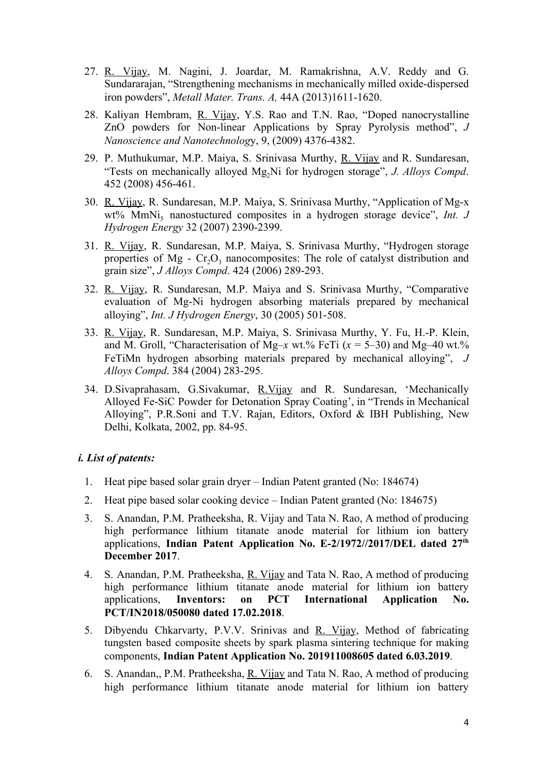- 27. R. Vijay, M. Nagini, J. Joardar, M. Ramakrishna, A.V. Reddy and G. Sundararajan, "Strengthening mechanisms in mechanically milled oxide-dispersed iron powders", *Metall Mater. Trans. A,* 44A (2013)1611-1620.
- 28. Kaliyan Hembram, R. Vijay, Y.S. Rao and T.N. Rao, "Doped nanocrystalline ZnO powders for Non-linear Applications by Spray Pyrolysis method", *J Nanoscience and Nanotechnolog*y, 9, (2009) 4376-4382.
- 29. P. Muthukumar, M.P. Maiya, S. Srinivasa Murthy, R. Vijay and R. Sundaresan, "Tests on mechanically alloyed Mg<sub>2</sub>Ni for hydrogen storage", *J. Alloys Compd.* 452 (2008) 456-461.
- 30. R. Vijay, R. Sundaresan, M.P. Maiya, S. Srinivasa Murthy, "Application of Mg-x wt% MmNi<sub>s</sub> nanostuctured composites in a hydrogen storage device", *Int. J Hydrogen Energy* 32 (2007) 2390-2399.
- 31. R. Vijay, R. Sundaresan, M.P. Maiya, S. Srinivasa Murthy, "Hydrogen storage properties of Mg -  $Cr_2O_3$  nanocomposites: The role of catalyst distribution and grain size", *J Alloys Compd*. 424 (2006) 289-293.
- 32. R. Vijay, R. Sundaresan, M.P. Maiya and S. Srinivasa Murthy, "Comparative evaluation of Mg-Ni hydrogen absorbing materials prepared by mechanical alloying", *Int. J Hydrogen Energy*, 30 (2005) 501-508.
- 33. R. Vijay, R. Sundaresan, M.P. Maiya, S. Srinivasa Murthy, Y. Fu, H.-P. Klein, and M. Groll, "Characterisation of Mg–*x* wt.% FeTi  $(x = 5-30)$  and Mg–40 wt.% FeTiMn hydrogen absorbing materials prepared by mechanical alloying", *J Alloys Compd*. 384 (2004) 283-295.
- 34. D.Sivaprahasam, G.Sivakumar, R.Vijay and R. Sundaresan, 'Mechanically Alloyed Fe-SiC Powder for Detonation Spray Coating', in "Trends in Mechanical Alloying", P.R.Soni and T.V. Rajan, Editors, Oxford & IBH Publishing, New Delhi, Kolkata, 2002, pp. 84-95.

### *i. List of patents:*

- 1. Heat pipe based solar grain dryer Indian Patent granted (No: 184674)
- 2. Heat pipe based solar cooking device Indian Patent granted (No: 184675)
- 3. S. Anandan, P.M. Pratheeksha, R. Vijay and Tata N. Rao, A method of producing high performance lithium titanate anode material for lithium ion battery applications, **Indian Patent Application No. E-2/1972//2017/DEL dated 27th December 2017**.
- 4. S. Anandan, P.M. Pratheeksha, R. Vijay and Tata N. Rao, A method of producing high performance lithium titanate anode material for lithium ion battery applications, **Inventors: on PCT International Application No. PCT/IN2018/050080 dated 17.02.2018**.
- 5. Dibyendu Chkarvarty, P.V.V. Srinivas and R. Vijay, Method of fabricating tungsten based composite sheets by spark plasma sintering technique for making components, **Indian Patent Application No. 201911008605 dated 6.03.2019**.
- 6. S. Anandan,, P.M. Pratheeksha, R. Vijay and Tata N. Rao, A method of producing high performance lithium titanate anode material for lithium ion battery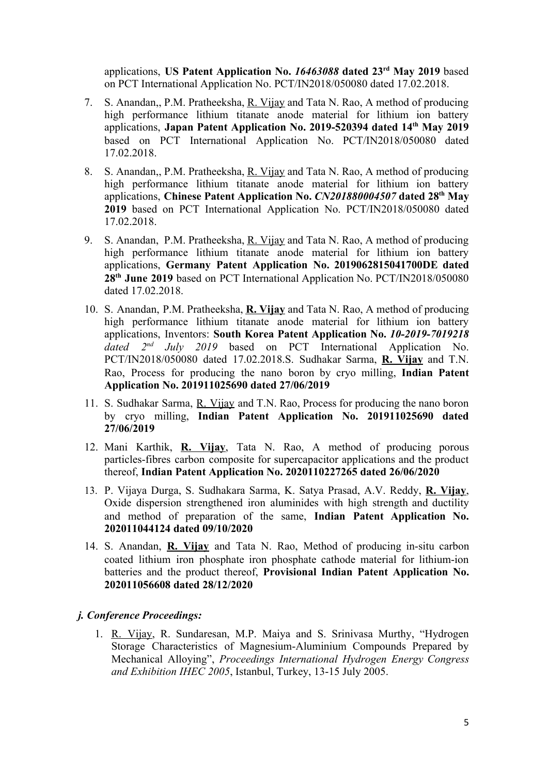applications, **US Patent Application No.** *16463088* **dated 23rd May 2019** based on PCT International Application No. PCT/IN2018/050080 dated 17.02.2018.

- 7. S. Anandan,, P.M. Pratheeksha, R. Vijay and Tata N. Rao, A method of producing high performance lithium titanate anode material for lithium ion battery applications, **Japan Patent Application No. 2019-520394 dated 14th May 2019** based on PCT International Application No. PCT/IN2018/050080 dated 17.02.2018.
- 8. S. Anandan,, P.M. Pratheeksha, R. Vijay and Tata N. Rao, A method of producing high performance lithium titanate anode material for lithium ion battery applications, **Chinese Patent Application No.** *CN201880004507* **dated 28th May 2019** based on PCT International Application No. PCT/IN2018/050080 dated 17.02.2018.
- 9. S. Anandan, P.M. Pratheeksha, R. Vijay and Tata N. Rao, A method of producing high performance lithium titanate anode material for lithium ion battery applications, **Germany Patent Application No. 2019062815041700DE dated 28th June 2019** based on PCT International Application No. PCT/IN2018/050080 dated 17.02.2018.
- 10. S. Anandan, P.M. Pratheeksha, **R. Vijay** and Tata N. Rao, A method of producing high performance lithium titanate anode material for lithium ion battery applications, Inventors: **South Korea Patent Application No.** *10-2019-7019218 dated 2 nd July 2019* based on PCT International Application No. PCT/IN2018/050080 dated 17.02.2018.S. Sudhakar Sarma, **R. Vijay** and T.N. Rao, Process for producing the nano boron by cryo milling, **Indian Patent Application No. 201911025690 dated 27/06/2019**
- 11. S. Sudhakar Sarma, R. Vijay and T.N. Rao, Process for producing the nano boron by cryo milling, **Indian Patent Application No. 201911025690 dated 27/06/2019**
- 12. Mani Karthik, **R. Vijay**, Tata N. Rao, A method of producing porous particles-fibres carbon composite for supercapacitor applications and the product thereof, **Indian Patent Application No. 2020110227265 dated 26/06/2020**
- 13. P. Vijaya Durga, S. Sudhakara Sarma, K. Satya Prasad, A.V. Reddy, **R. Vijay**, Oxide dispersion strengthened iron aluminides with high strength and ductility and method of preparation of the same, **Indian Patent Application No. 202011044124 dated 09/10/2020**
- 14. S. Anandan, **R. Vijay** and Tata N. Rao, Method of producing in-situ carbon coated lithium iron phosphate iron phosphate cathode material for lithium-ion batteries and the product thereof, **Provisional Indian Patent Application No. 202011056608 dated 28/12/2020**

#### *j. Conference Proceedings:*

1. R. Vijay, R. Sundaresan, M.P. Maiya and S. Srinivasa Murthy, "Hydrogen Storage Characteristics of Magnesium-Aluminium Compounds Prepared by Mechanical Alloying", *Proceedings International Hydrogen Energy Congress and Exhibition IHEC 2005*, Istanbul, Turkey, 13-15 July 2005.